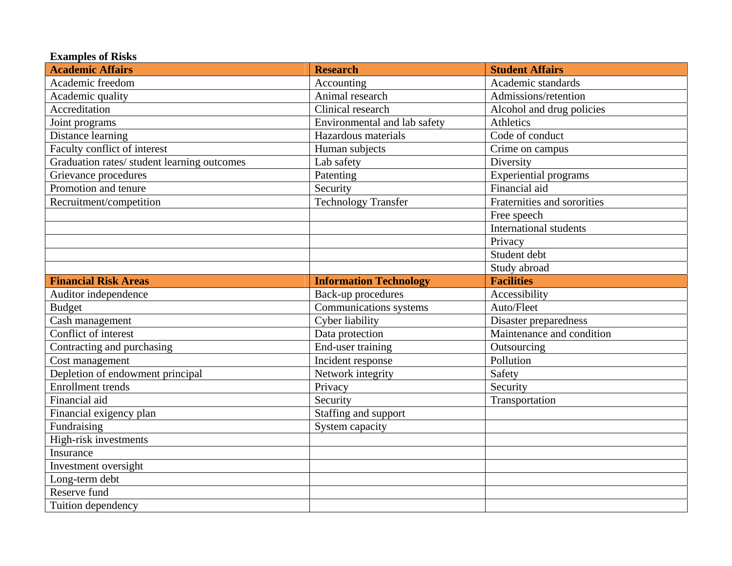| <b>Examples of Risks</b>                    |                               |                               |  |
|---------------------------------------------|-------------------------------|-------------------------------|--|
| <b>Academic Affairs</b>                     | <b>Research</b>               | <b>Student Affairs</b>        |  |
| Academic freedom                            | Accounting                    | Academic standards            |  |
| Academic quality                            | Animal research               | Admissions/retention          |  |
| Accreditation                               | Clinical research             | Alcohol and drug policies     |  |
| Joint programs                              | Environmental and lab safety  | Athletics                     |  |
| Distance learning                           | Hazardous materials           | Code of conduct               |  |
| Faculty conflict of interest                | Human subjects                | Crime on campus               |  |
| Graduation rates/ student learning outcomes | Lab safety                    | Diversity                     |  |
| Grievance procedures                        | Patenting                     | <b>Experiential programs</b>  |  |
| Promotion and tenure                        | Security                      | Financial aid                 |  |
| Recruitment/competition                     | <b>Technology Transfer</b>    | Fraternities and sororities   |  |
|                                             |                               | Free speech                   |  |
|                                             |                               | <b>International students</b> |  |
|                                             |                               | Privacy                       |  |
|                                             |                               | Student debt                  |  |
|                                             |                               | Study abroad                  |  |
| <b>Financial Risk Areas</b>                 | <b>Information Technology</b> | <b>Facilities</b>             |  |
| Auditor independence                        | Back-up procedures            | Accessibility                 |  |
| <b>Budget</b>                               | Communications systems        | Auto/Fleet                    |  |
| Cash management                             | Cyber liability               | Disaster preparedness         |  |
| Conflict of interest                        | Data protection               | Maintenance and condition     |  |
| Contracting and purchasing                  | End-user training             | Outsourcing                   |  |
| Cost management                             | Incident response             | Pollution                     |  |
| Depletion of endowment principal            | Network integrity             | Safety                        |  |
| <b>Enrollment</b> trends                    | Privacy                       | Security                      |  |
| Financial aid                               | Security                      | Transportation                |  |
| Financial exigency plan                     | Staffing and support          |                               |  |
| Fundraising                                 | System capacity               |                               |  |
| High-risk investments                       |                               |                               |  |
| Insurance                                   |                               |                               |  |
| Investment oversight                        |                               |                               |  |
| Long-term debt                              |                               |                               |  |
| Reserve fund                                |                               |                               |  |
| Tuition dependency                          |                               |                               |  |